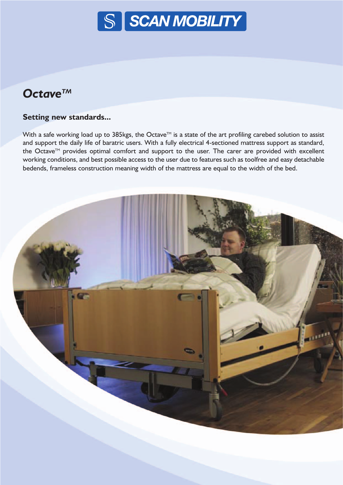

# *OctaveTM*

### **Setting new standards...**

With a safe working load up to 385kgs, the Octave™ is a state of the art profiling carebed solution to assist and support the daily life of baratric users. With a fully electrical 4-sectioned mattress support as standard, the Octave™ provides optimal comfort and support to the user. The carer are provided with excellent working conditions, and best possible access to the user due to features such as toolfree and easy detachable bedends, frameless construction meaning width of the mattress are equal to the width of the bed.